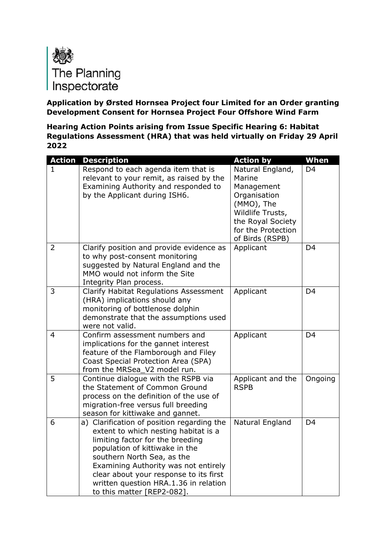

**Application by Ørsted Hornsea Project four Limited for an Order granting Development Consent for Hornsea Project Four Offshore Wind Farm**

**Hearing Action Points arising from Issue Specific Hearing 6: Habitat Regulations Assessment (HRA) that was held virtually on Friday 29 April 2022**

| <b>Action</b>  | <b>Description</b>                                                                                                                                                                                                                                                                                                                              | <b>Action by</b>                                                                                                                                         | When           |
|----------------|-------------------------------------------------------------------------------------------------------------------------------------------------------------------------------------------------------------------------------------------------------------------------------------------------------------------------------------------------|----------------------------------------------------------------------------------------------------------------------------------------------------------|----------------|
| 1.             | Respond to each agenda item that is<br>relevant to your remit, as raised by the<br>Examining Authority and responded to<br>by the Applicant during ISH6.                                                                                                                                                                                        | Natural England,<br>Marine<br>Management<br>Organisation<br>(MMO), The<br>Wildlife Trusts,<br>the Royal Society<br>for the Protection<br>of Birds (RSPB) | D <sub>4</sub> |
| $\overline{2}$ | Clarify position and provide evidence as<br>to why post-consent monitoring<br>suggested by Natural England and the<br>MMO would not inform the Site<br>Integrity Plan process.                                                                                                                                                                  | Applicant                                                                                                                                                | D <sub>4</sub> |
| 3              | <b>Clarify Habitat Regulations Assessment</b><br>(HRA) implications should any<br>monitoring of bottlenose dolphin<br>demonstrate that the assumptions used<br>were not valid.                                                                                                                                                                  | Applicant                                                                                                                                                | D <sub>4</sub> |
| 4              | Confirm assessment numbers and<br>implications for the gannet interest<br>feature of the Flamborough and Filey<br>Coast Special Protection Area (SPA)<br>from the MRSea_V2 model run.                                                                                                                                                           | Applicant                                                                                                                                                | D <sub>4</sub> |
| 5              | Continue dialogue with the RSPB via<br>the Statement of Common Ground<br>process on the definition of the use of<br>migration-free versus full breeding<br>season for kittiwake and gannet.                                                                                                                                                     | Applicant and the<br><b>RSPB</b>                                                                                                                         | Ongoing        |
| 6              | a) Clarification of position regarding the<br>extent to which nesting habitat is a<br>limiting factor for the breeding<br>population of kittiwake in the<br>southern North Sea, as the<br>Examining Authority was not entirely<br>clear about your response to its first<br>written question HRA.1.36 in relation<br>to this matter [REP2-082]. | Natural England                                                                                                                                          | D <sub>4</sub> |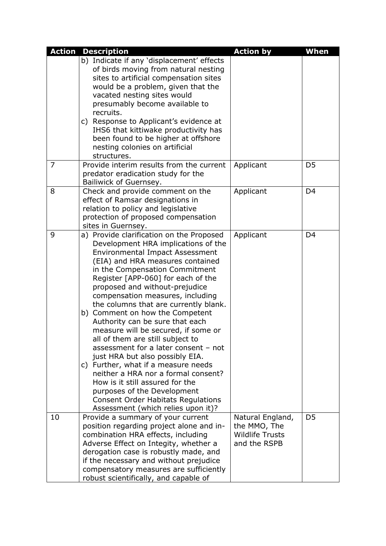| <b>Action</b> | <b>Description</b>                                                                                                                                                                                                                                                                                                                                                                                                                                                                                                                                                                                                                                                                                                                                                                                                  | <b>Action by</b>                                                           | When           |
|---------------|---------------------------------------------------------------------------------------------------------------------------------------------------------------------------------------------------------------------------------------------------------------------------------------------------------------------------------------------------------------------------------------------------------------------------------------------------------------------------------------------------------------------------------------------------------------------------------------------------------------------------------------------------------------------------------------------------------------------------------------------------------------------------------------------------------------------|----------------------------------------------------------------------------|----------------|
|               | b) Indicate if any 'displacement' effects<br>of birds moving from natural nesting<br>sites to artificial compensation sites<br>would be a problem, given that the<br>vacated nesting sites would<br>presumably become available to<br>recruits.                                                                                                                                                                                                                                                                                                                                                                                                                                                                                                                                                                     |                                                                            |                |
|               | c) Response to Applicant's evidence at<br>IHS6 that kittiwake productivity has<br>been found to be higher at offshore<br>nesting colonies on artificial<br>structures.                                                                                                                                                                                                                                                                                                                                                                                                                                                                                                                                                                                                                                              |                                                                            |                |
| 7             | Provide interim results from the current<br>predator eradication study for the<br>Bailiwick of Guernsey.                                                                                                                                                                                                                                                                                                                                                                                                                                                                                                                                                                                                                                                                                                            | Applicant                                                                  | D <sub>5</sub> |
| 8             | Check and provide comment on the<br>effect of Ramsar designations in<br>relation to policy and legislative<br>protection of proposed compensation<br>sites in Guernsey.                                                                                                                                                                                                                                                                                                                                                                                                                                                                                                                                                                                                                                             | Applicant                                                                  | D <sub>4</sub> |
| 9             | a) Provide clarification on the Proposed<br>Development HRA implications of the<br><b>Environmental Impact Assessment</b><br>(EIA) and HRA measures contained<br>in the Compensation Commitment<br>Register [APP-060] for each of the<br>proposed and without-prejudice<br>compensation measures, including<br>the columns that are currently blank.<br>b) Comment on how the Competent<br>Authority can be sure that each<br>measure will be secured, if some or<br>all of them are still subject to<br>assessment for a later consent - not<br>just HRA but also possibly EIA.<br>c) Further, what if a measure needs<br>neither a HRA nor a formal consent?<br>How is it still assured for the<br>purposes of the Development<br><b>Consent Order Habitats Regulations</b><br>Assessment (which relies upon it)? | Applicant                                                                  | D <sub>4</sub> |
| 10            | Provide a summary of your current<br>position regarding project alone and in-<br>combination HRA effects, including<br>Adverse Effect on Integity, whether a<br>derogation case is robustly made, and<br>if the necessary and without prejudice<br>compensatory measures are sufficiently<br>robust scientifically, and capable of                                                                                                                                                                                                                                                                                                                                                                                                                                                                                  | Natural England,<br>the MMO, The<br><b>Wildlife Trusts</b><br>and the RSPB | D <sub>5</sub> |